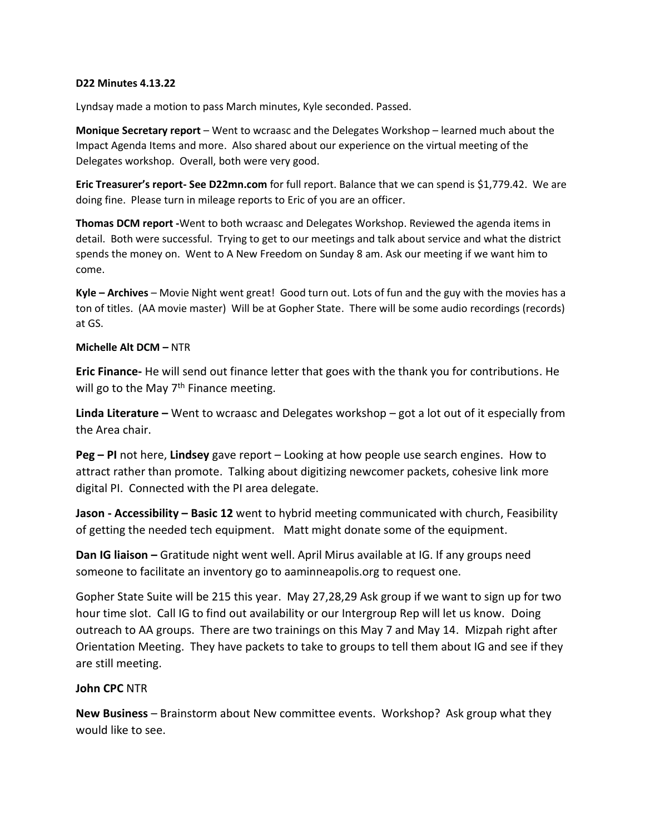## **D22 Minutes 4.13.22**

Lyndsay made a motion to pass March minutes, Kyle seconded. Passed.

**Monique Secretary report** – Went to wcraasc and the Delegates Workshop – learned much about the Impact Agenda Items and more. Also shared about our experience on the virtual meeting of the Delegates workshop. Overall, both were very good.

**Eric Treasurer's report- See D22mn.com** for full report. Balance that we can spend is \$1,779.42. We are doing fine. Please turn in mileage reports to Eric of you are an officer.

**Thomas DCM report -**Went to both wcraasc and Delegates Workshop. Reviewed the agenda items in detail. Both were successful. Trying to get to our meetings and talk about service and what the district spends the money on. Went to A New Freedom on Sunday 8 am. Ask our meeting if we want him to come.

**Kyle – Archives** – Movie Night went great! Good turn out. Lots of fun and the guy with the movies has a ton of titles. (AA movie master) Will be at Gopher State. There will be some audio recordings (records) at GS.

## **Michelle Alt DCM –** NTR

**Eric Finance-** He will send out finance letter that goes with the thank you for contributions. He will go to the May  $7<sup>th</sup>$  Finance meeting.

**Linda Literature –** Went to wcraasc and Delegates workshop – got a lot out of it especially from the Area chair.

**Peg – PI** not here, **Lindsey** gave report – Looking at how people use search engines. How to attract rather than promote. Talking about digitizing newcomer packets, cohesive link more digital PI. Connected with the PI area delegate.

**Jason - Accessibility – Basic 12** went to hybrid meeting communicated with church, Feasibility of getting the needed tech equipment. Matt might donate some of the equipment.

**Dan IG liaison –** Gratitude night went well. April Mirus available at IG. If any groups need someone to facilitate an inventory go to aaminneapolis.org to request one.

Gopher State Suite will be 215 this year. May 27,28,29 Ask group if we want to sign up for two hour time slot. Call IG to find out availability or our Intergroup Rep will let us know. Doing outreach to AA groups. There are two trainings on this May 7 and May 14. Mizpah right after Orientation Meeting. They have packets to take to groups to tell them about IG and see if they are still meeting.

## **John CPC** NTR

**New Business** – Brainstorm about New committee events. Workshop? Ask group what they would like to see.